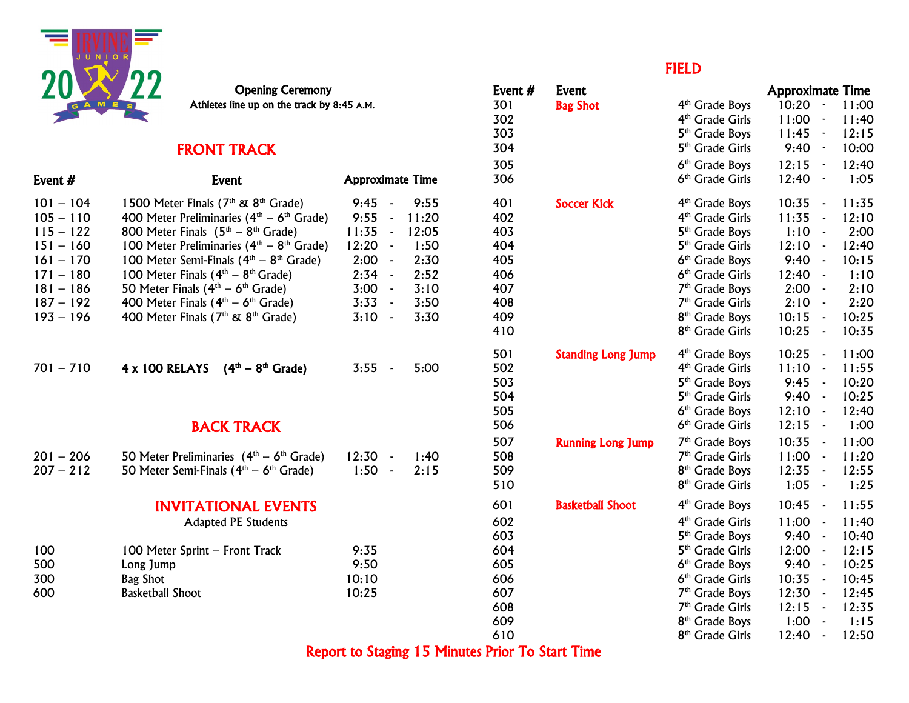

#### **FRONT TRACK 304 5th Grade Girls 9:40 - 10:000 - 10:000 - 10:00:000 - 10:00:00:00**

| Event #     | Event                                                       | <b>Approximate Time</b>          | 306 |                           | 6 <sup>th</sup> Grade Girls | 12:40<br>$\blacksquare$ | 1:05              |
|-------------|-------------------------------------------------------------|----------------------------------|-----|---------------------------|-----------------------------|-------------------------|-------------------|
| $101 - 104$ | 1500 Meter Finals (7 <sup>th</sup> & 8 <sup>th</sup> Grade) | 9:45<br>9:55<br>$\sim$           | 401 | <b>Soccer Kick</b>        | 4 <sup>th</sup> Grade Boys  | 10:35<br>$\sim$         | 11:35             |
| $105 - 110$ | 400 Meter Preliminaries ( $4th - 6th$ Grade)                | 9:55<br>11:20<br>$\blacksquare$  | 402 |                           | 4 <sup>th</sup> Grade Girls | 11:35<br>$\sim$         | 12:10             |
| $115 - 122$ | 800 Meter Finals $(5th - 8th$ Grade)                        | 11:35<br>12:05<br>$\blacksquare$ | 403 |                           | 5 <sup>th</sup> Grade Boys  | 1:10                    | 2:00              |
| $151 - 160$ | 100 Meter Preliminaries ( $4th - 8th$ Grade)                | $12:20 -$<br>1:50                | 404 |                           | 5 <sup>th</sup> Grade Girls | 12:10<br>$\blacksquare$ | 12:40             |
| $161 - 170$ | 100 Meter Semi-Finals $(4th - 8th$ Grade)                   | 2:00<br>2:30<br>$\sim$           | 405 |                           | 6 <sup>th</sup> Grade Boys  | 9:40                    | 10:15             |
| $171 - 180$ | 100 Meter Finals $(4th - 8th$ Grade)                        | $2:34 -$<br>2:52                 | 406 |                           | 6 <sup>th</sup> Grade Girls | 12:40<br>$\sim$         | 1:10              |
| $181 - 186$ | 50 Meter Finals $(4th – 6th$ Grade)                         | $3:00 -$<br>3:10                 | 407 |                           | $7th$ Grade Boys            | $2:00 -$                | 2:10              |
| $187 - 192$ | 400 Meter Finals $(4th – 6th$ Grade)                        | $3:33 -$<br>3:50                 | 408 |                           | 7 <sup>th</sup> Grade Girls | 2:10<br>$\sim$          | 2:20              |
| $193 - 196$ | 400 Meter Finals ( $7th$ & $8th$ Grade)                     | $3:10 -$<br>3:30                 | 409 |                           | 8 <sup>th</sup> Grade Boys  | 10:15<br>$\sim$         | 10:25             |
|             |                                                             |                                  | 410 |                           | 8 <sup>th</sup> Grade Girls | 10:25<br>$\sim$         | 10:35             |
|             |                                                             |                                  | 501 | <b>Standing Long Jump</b> | 4 <sup>th</sup> Grade Boys  | 10:25<br>$\sim$         | 11:00             |
| $701 - 710$ | 4 x 100 RELAYS<br>$(4th - 8th$ Grade)                       | $3:55 -$<br>5:00                 | 502 |                           | 4 <sup>th</sup> Grade Girls | 11:10<br>$\sim$         | 11:55             |
|             |                                                             |                                  | 503 |                           | 5 <sup>th</sup> Grade Boys  | 9:45                    | 10:20             |
|             |                                                             |                                  | 504 |                           | 5 <sup>th</sup> Grade Girls | 9:40<br>$\blacksquare$  | 10:25             |
|             |                                                             |                                  | 505 |                           | 6 <sup>th</sup> Grade Boys  | 12:10<br>$\sim$         | 12:40             |
|             | <b>BACK TRACK</b>                                           |                                  | 506 |                           | 6 <sup>th</sup> Grade Girls | 12:15<br>$\sim$         | 1:00              |
|             |                                                             |                                  | 507 | <b>Running Long Jump</b>  | 7 <sup>th</sup> Grade Boys  | 10:35<br>$\sim$         | 11:00             |
| $201 - 206$ | 50 Meter Preliminaries $(4th – 6th Grade)$                  | $12:30 -$<br>1:40                | 508 |                           | 7 <sup>th</sup> Grade Girls | 11:00<br>$\sim$         | 11:20             |
| $207 - 212$ | 50 Meter Semi-Finals $(4th – 6th$ Grade)                    | $1:50 -$<br>2:15                 | 509 |                           | 8 <sup>th</sup> Grade Boys  | 12:35<br>$\sim$         | 12:55             |
|             |                                                             |                                  | 510 |                           | 8 <sup>th</sup> Grade Girls | 1:05<br>$\sim$          | 1:25              |
|             | <b>INVITATIONAL EVENTS</b>                                  |                                  | 601 | <b>Basketball Shoot</b>   | 4 <sup>th</sup> Grade Boys  | 10:45<br>$\blacksquare$ | 11:55             |
|             | <b>Adapted PE Students</b>                                  |                                  | 602 |                           | 4 <sup>th</sup> Grade Girls | 11:00                   | 11:40             |
|             |                                                             |                                  | 603 |                           | 5 <sup>th</sup> Grade Boys  | 9:40<br>$\sim$          | 10:40             |
| 100         | 100 Meter Sprint - Front Track                              | 9:35                             | 604 |                           | 5 <sup>th</sup> Grade Girls | 12:00                   | 12:15             |
| 500         | Long Jump                                                   | 9:50                             | 605 |                           | 6 <sup>th</sup> Grade Boys  | 9:40<br>$\blacksquare$  | 10:25             |
| 300         | Bag Shot                                                    | 10:10                            | 606 |                           | 6 <sup>th</sup> Grade Girls | 10:35<br>$\sim$         | 10:45             |
| 600         | <b>Basketball Shoot</b>                                     | 10:25                            | 607 |                           | 7 <sup>th</sup> Grade Boys  | 12:30                   | 12:45             |
|             |                                                             |                                  | 200 |                           | $7th$ Cuada Civia           | 10.1 <sub>E</sub>       | 10.7 <sub>F</sub> |

#### **FIELD FIELD**

| <b>Opening Ceremony</b><br>Athletes line up on the track by 8:45 A.M.                                                                                                                                            |                                                                                                   | Event $#$<br>301<br>302         | Event<br><b>Bag Shot</b>  | 4 <sup>th</sup> Grade Boys<br>4 <sup>th</sup> Grade Girls                                                                                             | <b>Approximate Time</b><br>$10:20 -$<br>$11:00 -$           | 11:00<br>11:40                            |
|------------------------------------------------------------------------------------------------------------------------------------------------------------------------------------------------------------------|---------------------------------------------------------------------------------------------------|---------------------------------|---------------------------|-------------------------------------------------------------------------------------------------------------------------------------------------------|-------------------------------------------------------------|-------------------------------------------|
| <b>FRONT TRACK</b>                                                                                                                                                                                               |                                                                                                   | 303<br>304<br>305               |                           | 5 <sup>th</sup> Grade Boys<br>5 <sup>th</sup> Grade Girls<br>6 <sup>th</sup> Grade Boys                                                               | $11:45 -$<br>$9:40 -$<br>$12:15 -$                          | 12:15<br>10:00<br>12:40                   |
| Event                                                                                                                                                                                                            | <b>Approximate Time</b>                                                                           | 306                             |                           | 6 <sup>th</sup> Grade Girls                                                                                                                           | $12:40 -$                                                   | 1:05                                      |
| 1500 Meter Finals (7 <sup>th</sup> & 8 <sup>th</sup> Grade)<br>400 Meter Preliminaries ( $4th - 6th$ Grade)<br>800 Meter Finals $(5th - 8th$ Grade)                                                              | 9:45<br>9:55<br>$\sim$<br>$9:55 -$<br>11:20<br>$11:35 -$<br>12:05                                 | 401<br>402<br>403               | <b>Soccer Kick</b>        | 4 <sup>th</sup> Grade Boys<br>4 <sup>th</sup> Grade Girls<br>5 <sup>th</sup> Grade Boys                                                               | $10:35 -$<br>$11:35 -$<br>$1:10 -$                          | 11:35<br>12:10<br>2:00                    |
| 100 Meter Preliminaries ( $4th - 8th$ Grade)<br>100 Meter Semi-Finals $(4th - 8th$ Grade)<br>100 Meter Finals $(4th - 8th$ Grade)<br>50 Meter Finals $(4th - 6th$ Grade)<br>400 Meter Finals $(4th - 6th$ Grade) | $12:20 -$<br>1:50<br>$2:00 -$<br>2:30<br>$2:34 -$<br>2:52<br>$3:00 -$<br>3:10<br>$3:33 -$<br>3:50 | 404<br>405<br>406<br>407<br>408 |                           | 5 <sup>th</sup> Grade Girls<br>6 <sup>th</sup> Grade Boys<br>6 <sup>th</sup> Grade Girls<br>7 <sup>th</sup> Grade Boys<br>7 <sup>th</sup> Grade Girls | $12:10 -$<br>$9:40 -$<br>$12:40 -$<br>$2:00 -$<br>$2:10 -$  | 12:40<br>10:15<br>1:10<br>2:10<br>2:20    |
| 400 Meter Finals (7 <sup>th</sup> & 8 <sup>th</sup> Grade)                                                                                                                                                       | 3:30<br>$3:10 -$                                                                                  | 409<br>410                      |                           | 8 <sup>th</sup> Grade Boys<br>8 <sup>th</sup> Grade Girls                                                                                             | 10:15<br>$\sim$ $\sim$<br>10:25<br>$\sim$ $\sim$            | 10:25<br>10:35                            |
| $4 \times 100$ RELAYS $(4th - 8th$ Grade)                                                                                                                                                                        | $3:55 -$<br>5:00                                                                                  | 501<br>502<br>503<br>504<br>505 | <b>Standing Long Jump</b> | 4 <sup>th</sup> Grade Boys<br>4 <sup>th</sup> Grade Girls<br>5 <sup>th</sup> Grade Boys<br>5 <sup>th</sup> Grade Girls<br>6 <sup>th</sup> Grade Boys  | $10:25 -$<br>$11:10 -$<br>$9:45 -$<br>$9:40 -$<br>$12:10 -$ | 11:00<br>11:55<br>10:20<br>10:25<br>12:40 |
| <b>BACK TRACK</b>                                                                                                                                                                                                |                                                                                                   | 506                             |                           | 6 <sup>th</sup> Grade Girls                                                                                                                           | $12:15 -$                                                   | 1:00                                      |
| 50 Meter Preliminaries $(4th - 6th$ Grade)<br>50 Meter Semi-Finals $(4th - 6th$ Grade)                                                                                                                           | $12:30 -$<br>1:40<br>$1:50 -$<br>2:15                                                             | 507<br>508<br>509<br>510        | <b>Running Long Jump</b>  | 7 <sup>th</sup> Grade Boys<br>7 <sup>th</sup> Grade Girls<br>8 <sup>th</sup> Grade Boys<br>8 <sup>th</sup> Grade Girls                                | $10:35 -$<br>$11:00 -$<br>$12:35 -$<br>$1:05 -$             | 11:00<br>11:20<br>12:55<br>1:25           |
| <b>INVITATIONAL EVENTS</b><br><b>Adapted PE Students</b>                                                                                                                                                         |                                                                                                   | 601<br>602<br>603               | <b>Basketball Shoot</b>   | 4 <sup>th</sup> Grade Boys<br>4 <sup>th</sup> Grade Girls<br>5 <sup>th</sup> Grade Boys                                                               | 10:45<br>$\sim$ $\sim$<br>$11:00 -$<br>$9:40 -$             | 11:55<br>11:40<br>10:40                   |
| 100 Meter Sprint - Front Track<br>Long Jump<br><b>Bag Shot</b>                                                                                                                                                   | 9:35<br>9:50<br>10:10                                                                             | 604<br>605<br>606               |                           | 5 <sup>th</sup> Grade Girls<br>6 <sup>th</sup> Grade Boys<br>6 <sup>th</sup> Grade Girls                                                              | $12:00 -$<br>$9:40 -$<br>$10:35 -$                          | 12:15<br>10:25<br>10:45                   |
| <b>Basketball Shoot</b>                                                                                                                                                                                          | 10:25                                                                                             | 607<br>608<br>609               |                           | 7 <sup>th</sup> Grade Boys<br>7 <sup>th</sup> Grade Girls<br>8 <sup>th</sup> Grade Boys                                                               | $12:30 -$<br>$12:15 -$<br>$1:00 -$                          | 12:45<br>12:35<br>1:15                    |
|                                                                                                                                                                                                                  |                                                                                                   | 610                             |                           | 8 <sup>th</sup> Grade Girls                                                                                                                           | 12:40                                                       | 12:50                                     |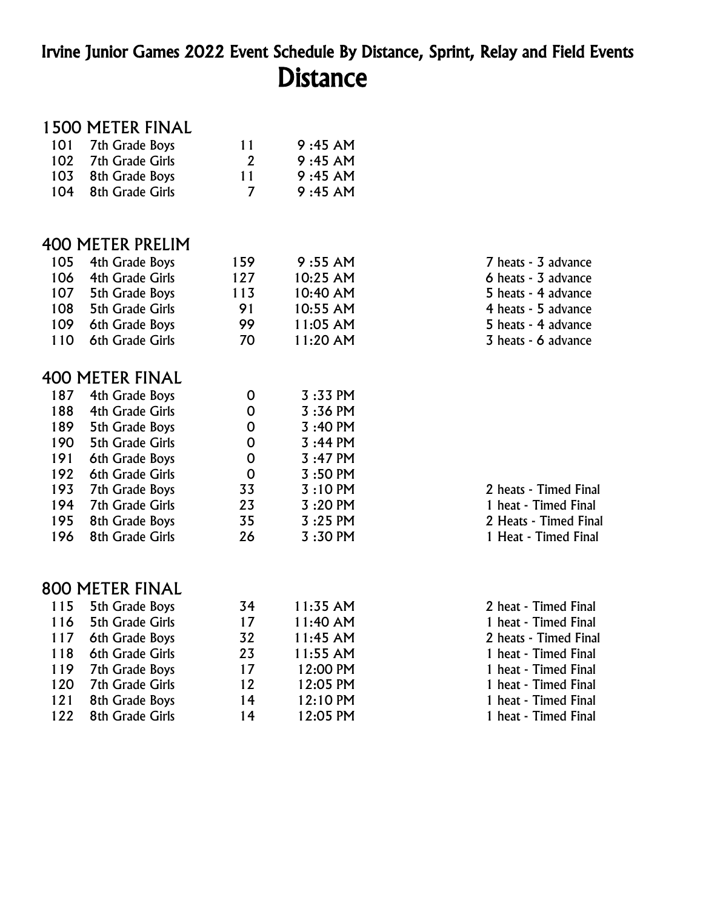## Irvine Junior Games 2022 Event Schedule By Distance, Sprint, Relay and Field Events **Distance**

#### 1500 METER FINAL

| 101 | 7th Grade Boys          | 11             | 9:45 AM   |                       |
|-----|-------------------------|----------------|-----------|-----------------------|
| 102 | <b>7th Grade Girls</b>  | $\overline{2}$ | 9:45 AM   |                       |
| 103 | 8th Grade Boys          | 11             | 9:45 AM   |                       |
| 104 | 8th Grade Girls         | $\overline{7}$ | 9:45 AM   |                       |
|     | <b>400 METER PRELIM</b> |                |           |                       |
| 105 | 4th Grade Boys          | 159            | 9:55 AM   | 7 heats - 3 advance   |
| 106 | 4th Grade Girls         | 127            | 10:25 AM  | 6 heats - 3 advance   |
| 107 | 5th Grade Boys          | 113            | 10:40 AM  | 5 heats - 4 advance   |
| 108 | <b>5th Grade Girls</b>  | 91             | 10:55 AM  | 4 heats - 5 advance   |
| 109 | 6th Grade Boys          | 99             | 11:05 AM  | 5 heats - 4 advance   |
| 110 | 6th Grade Girls         | 70             | 11:20 AM  | 3 heats - 6 advance   |
|     | <b>400 METER FINAL</b>  |                |           |                       |
| 187 | 4th Grade Boys          | 0              | 3:33 PM   |                       |
| 188 | 4th Grade Girls         | 0              | 3:36 PM   |                       |
| 189 | 5th Grade Boys          | 0              | 3:40 PM   |                       |
| 190 | <b>5th Grade Girls</b>  | $\mathbf 0$    | 3:44 PM   |                       |
| 191 | 6th Grade Boys          | $\mathbf 0$    | 3:47 PM   |                       |
| 192 | 6th Grade Girls         | 0              | $3:50$ PM |                       |
| 193 | 7th Grade Boys          | 33             | 3:10 PM   | 2 heats - Timed Final |
| 194 | <b>7th Grade Girls</b>  | 23             | 3:20 PM   | 1 heat - Timed Final  |
| 195 | 8th Grade Boys          | 35             | 3:25 PM   | 2 Heats - Timed Final |
| 196 | 8th Grade Girls         | 26             | 3:30 PM   | 1 Heat - Timed Final  |
|     | 800 METER FINAL         |                |           |                       |
| 115 | 5th Grade Boys          | 34             | 11:35 AM  | 2 heat - Timed Final  |
| 116 | <b>5th Grade Girls</b>  | 17             | 11:40 AM  | 1 heat - Timed Final  |
| 117 | 6th Grade Boys          | 32             | 11:45 AM  | 2 heats - Timed Final |
| 118 | 6th Grade Girls         | 23             | 11:55 AM  | 1 heat - Timed Final  |
| 119 | 7th Grade Boys          | 17             | 12:00 PM  | 1 heat - Timed Final  |
| 120 | <b>7th Grade Girls</b>  | 12             | 12:05 PM  | 1 heat - Timed Final  |
| 121 | 8th Grade Boys          | 14             | 12:10 PM  | 1 heat - Timed Final  |
|     |                         |                |           |                       |

122 8th Grade Girls 14 12:05 PM

14 12:10 PM 1 heat - Timed Final<br>14 12:05 PM 1 heat - Timed Final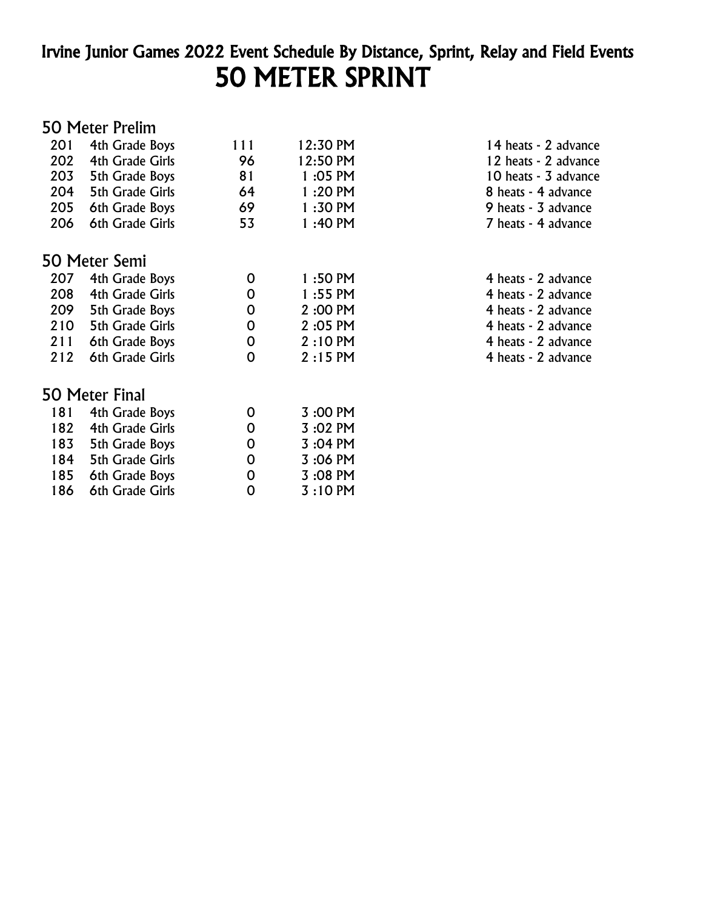# Irvine Junior Games 2022 Event Schedule By Distance, Sprint, Relay and Field Events 50 METER SPRINT

#### 50 Meter Prelim

| 201 | 4th Grade Boys         | 111 | 12:30 PM  | 14 heats - 2 advance |
|-----|------------------------|-----|-----------|----------------------|
| 202 | 4th Grade Girls        | 96  | 12:50 PM  | 12 heats - 2 advance |
| 203 | 5th Grade Boys         | 81  | 1:05 PM   | 10 heats - 3 advance |
| 204 | <b>5th Grade Girls</b> | 64  | 1:20 PM   | 8 heats - 4 advance  |
| 205 | 6th Grade Boys         | 69  | $1:30$ PM | 9 heats - 3 advance  |
| 206 | 6th Grade Girls        | 53  | 1:40 PM   | 7 heats - 4 advance  |
|     | 50 Meter Semi          |     |           |                      |
| 207 | 4th Grade Boys         | 0   | $1:50$ PM | 4 heats - 2 advance  |
| 208 | 4th Grade Girls        | 0   | $1:55$ PM | 4 heats - 2 advance  |
| 209 | 5th Grade Boys         | 0   | 2:00 PM   | 4 heats - 2 advance  |
| 210 | 5th Grade Girls        | 0   | 2:05 PM   | 4 heats - 2 advance  |
| 211 | 6th Grade Boys         | 0   | $2:10$ PM | 4 heats - 2 advance  |
| 212 | 6th Grade Girls        | 0   | $2:15$ PM | 4 heats - 2 advance  |
|     | 50 Meter Final         |     |           |                      |
| 181 | 4th Grade Boys         | 0   | 3:00 PM   |                      |
| 182 | 4th Grade Girls        | 0   | 3:02 PM   |                      |
| 183 | 5th Grade Boys         | 0   | 3:04 PM   |                      |
| 184 | 5th Grade Girls        | 0   | 3:06 PM   |                      |
| 185 | 6th Grade Boys         | 0   | 3:08 PM   |                      |
| 186 | 6th Grade Girls        | 0   | $3:10$ PM |                      |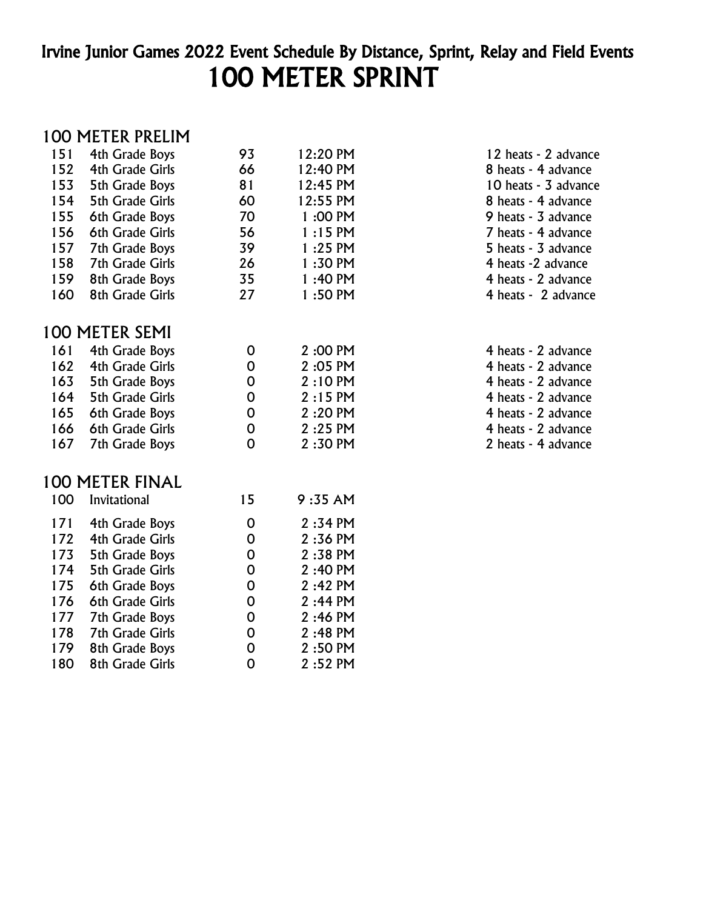# Irvine Junior Games 2022 Event Schedule By Distance, Sprint, Relay and Field Events 100 METER SPRINT

#### 100 METER PRELIM

| 151 | 4th Grade Boys         | 93 | 12:20 PM  | 12 heats - 2 advance |
|-----|------------------------|----|-----------|----------------------|
| 152 | 4th Grade Girls        | 66 | 12:40 PM  | 8 heats - 4 advance  |
| 153 | 5th Grade Boys         | 81 | 12:45 PM  | 10 heats - 3 advance |
| 154 | <b>5th Grade Girls</b> | 60 | 12:55 PM  | 8 heats - 4 advance  |
| 155 | 6th Grade Boys         | 70 | 1:00 PM   | 9 heats - 3 advance  |
| 156 | 6th Grade Girls        | 56 | $1:15$ PM | 7 heats - 4 advance  |
| 157 | 7th Grade Boys         | 39 | $1:25$ PM | 5 heats - 3 advance  |
| 158 | <b>7th Grade Girls</b> | 26 | $1:30$ PM | 4 heats -2 advance   |
| 159 | 8th Grade Boys         | 35 | $1:40$ PM | 4 heats - 2 advance  |
| 160 | 8th Grade Girls        | 27 | $1:50$ PM | 4 heats - 2 advance  |
|     | 100 METER SEMI         |    |           |                      |
| 161 | 4th Grade Boys         | 0  | 2:00 PM   | 4 heats - 2 advance  |
| 162 | 4th Grade Girls        | 0  | 2:05 PM   | 4 heats - 2 advance  |
| 163 | 5th Grade Boys         | 0  | $2:10$ PM | 4 heats - 2 advance  |
| 164 | <b>5th Grade Girls</b> | 0  | $2:15$ PM | 4 heats - 2 advance  |
| 165 | 6th Grade Boys         | 0  | 2:20 PM   | 4 heats - 2 advance  |
| 166 | 6th Grade Girls        | 0  | $2:25$ PM | 4 heats - 2 advance  |
| 167 | 7th Grade Boys         | 0  | $2:30$ PM | 2 heats - 4 advance  |
|     |                        |    |           |                      |

#### 100 METER FINAL

| 100 | Invitational           | 15 | 9:35 AM   |
|-----|------------------------|----|-----------|
| 171 | 4th Grade Boys         | 0  | $2:34$ PM |
| 172 | 4th Grade Girls        | 0  | 2:36 PM   |
| 173 | 5th Grade Boys         | 0  | 2:38 PM   |
| 174 | <b>5th Grade Girls</b> | 0  | 2:40 PM   |
| 175 | 6th Grade Boys         | 0  | 2:42 PM   |
| 176 | 6th Grade Girls        | 0  | $2:44$ PM |
| 177 | 7th Grade Boys         | 0  | 2:46 PM   |
| 178 | <b>7th Grade Girls</b> | 0  | 2:48 PM   |
| 179 | 8th Grade Boys         | 0  | 2:50 PM   |
| 180 | 8th Grade Girls        | O  | 2:52 PM   |

| 12 heats - 2 advance |
|----------------------|
| 8 heats - 4 advance  |
| 10 heats - 3 advance |
| 8 heats - 4 advance  |
| 9 heats - 3 advance  |
| 7 heats - 4 advance  |
| 5 heats - 3 advance  |
| 4 heats -2 advance   |
| 4 heats - 2 advance  |
| 4 heats - 2 advance  |
|                      |
|                      |
| 4 heats - 2 advance  |
| 4 heats - 2 advance  |
| 4 heats - 2 advance  |
| 4 heats - 2 advance  |
| 4 heats - 2 advance  |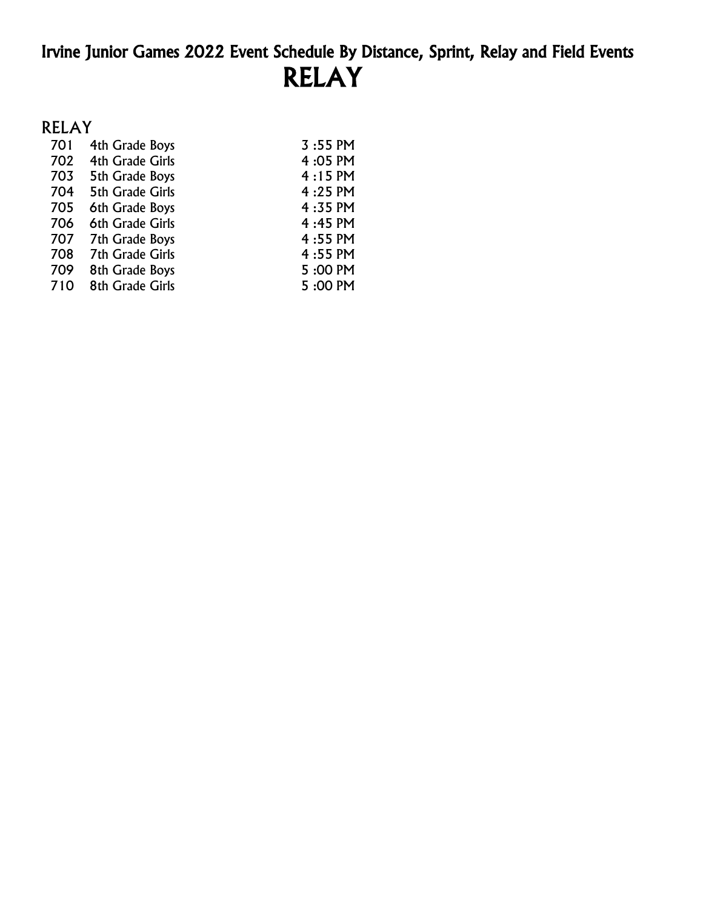# Irvine Junior Games 2022 Event Schedule By Distance, Sprint, Relay and Field Events RELAY

### RELAY

| 701 | 4th Grade Boys         | $3:55 \text{ PM}$ |
|-----|------------------------|-------------------|
| 702 | 4th Grade Girls        | 4:05 PM           |
| 703 | 5th Grade Boys         | $4:15$ PM         |
| 704 | <b>5th Grade Girls</b> | 4:25 PM           |
| 705 | 6th Grade Boys         | 4:35 PM           |
| 706 | 6th Grade Girls        | 4:45 PM           |
| 707 | 7th Grade Boys         | 4:55 PM           |
| 708 | <b>7th Grade Girls</b> | 4:55 PM           |
| 709 | 8th Grade Boys         | 5:00 PM           |
| 710 | 8th Grade Girls        | 5:00 PM           |
|     |                        |                   |